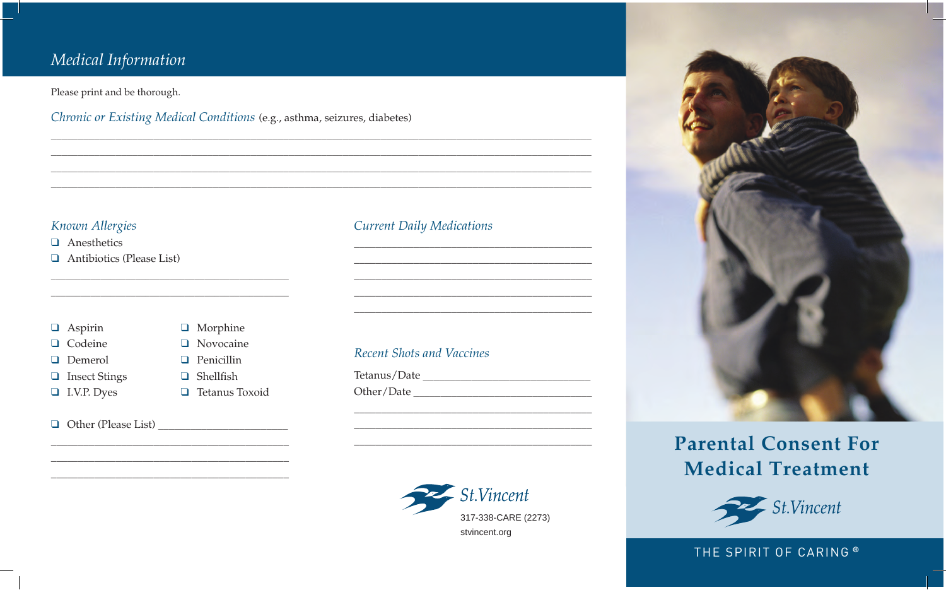# Medical Information

Please print and be thorough.

Chronic or Existing Medical Conditions (e.g., asthma, seizures, diabetes)

### Known Allergies

 $\Box$  Anesthetics

 $\Box$  Antibiotics (Please List)

| ASDIFIII |
|----------|
|----------|

- $\Box$  Codeine
- **Demerol**
- **Q** Insect Stings
- 
- $\Box$  I.V.P. Dyes
- $\Box$  Novocaine  $\Box$  Penicillin  $\Box$  Shellfish  $\Box$  Tetanus Toxoid

 $\Box$  Morphine

 $\Box$  Other (Please List)

### **Current Daily Medications**

### Recent Shots and Vaccines

Tetanus/Date 





# **Parental Consent For Medical Treatment**



### THE SPIRIT OF CARING ®